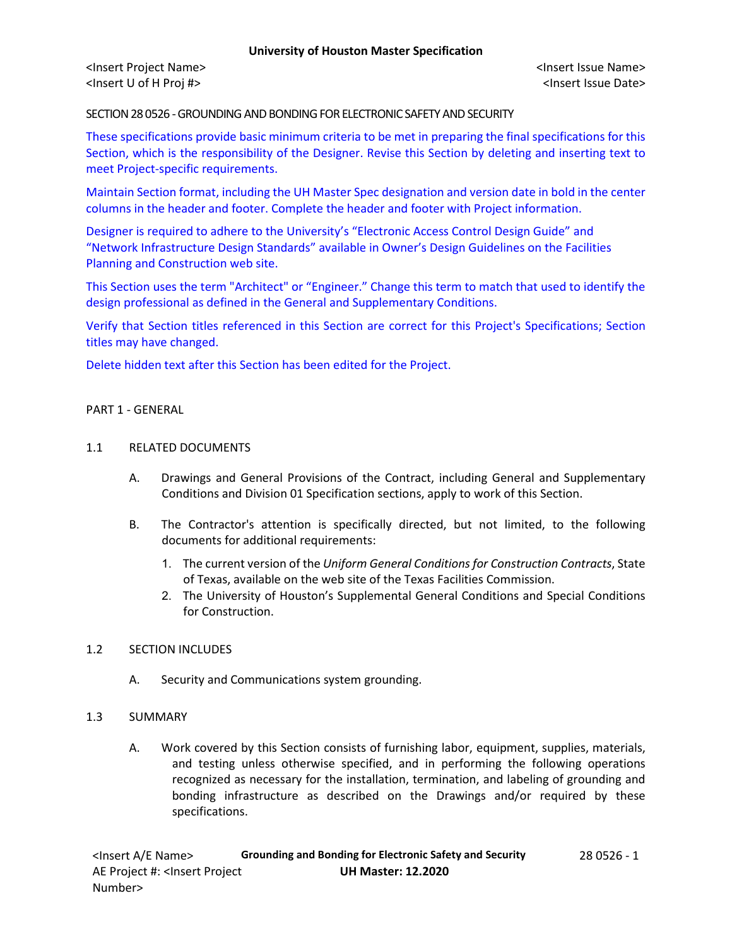<Insert Project Name> <Insert Issue Name> <Insert U of H Proj #> <Insert Issue Date>

SECTION 28 0526 -GROUNDING AND BONDING FOR ELECTRONIC SAFETY AND SECURITY

These specifications provide basic minimum criteria to be met in preparing the final specifications for this Section, which is the responsibility of the Designer. Revise this Section by deleting and inserting text to meet Project-specific requirements.

Maintain Section format, including the UH Master Spec designation and version date in bold in the center columns in the header and footer. Complete the header and footer with Project information.

Designer is required to adhere to the University's "Electronic Access Control Design Guide" and "Network Infrastructure Design Standards" available in Owner's Design Guidelines on the Facilities Planning and Construction web site.

This Section uses the term "Architect" or "Engineer." Change this term to match that used to identify the design professional as defined in the General and Supplementary Conditions.

Verify that Section titles referenced in this Section are correct for this Project's Specifications; Section titles may have changed.

Delete hidden text after this Section has been edited for the Project.

#### PART 1 - GENERAL

#### 1.1 RELATED DOCUMENTS

- A. Drawings and General Provisions of the Contract, including General and Supplementary Conditions and Division 01 Specification sections, apply to work of this Section.
- B. The Contractor's attention is specifically directed, but not limited, to the following documents for additional requirements:
	- 1. The current version of the *Uniform General Conditions for Construction Contracts*, State of Texas, available on the web site of the Texas Facilities Commission.
	- 2. The University of Houston's Supplemental General Conditions and Special Conditions for Construction.

#### 1.2 SECTION INCLUDES

A. Security and Communications system grounding.

#### 1.3 SUMMARY

A. Work covered by this Section consists of furnishing labor, equipment, supplies, materials, and testing unless otherwise specified, and in performing the following operations recognized as necessary for the installation, termination, and labeling of grounding and bonding infrastructure as described on the Drawings and/or required by these specifications.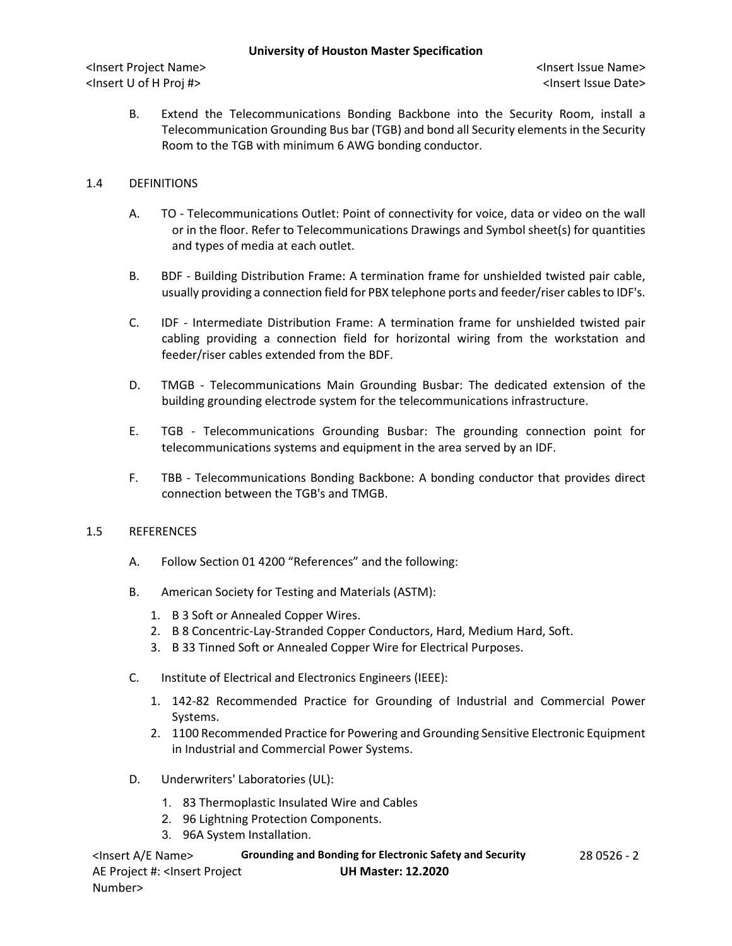## **University of Houston Master Specification**

<Insert Project Name> <Insert Issue Name> <Insert U of H Proj #> <Insert Issue Date>

B. Extend the Telecommunications Bonding Backbone into the Security Room, install a Telecommunication Grounding Bus bar (TGB) and bond all Security elements in the Security Room to the TGB with minimum 6 AWG bonding conductor.

# 1.4 DEFINITIONS

- A. TO Telecommunications Outlet: Point of connectivity for voice, data or video on the wall or in the floor. Refer to Telecommunications Drawings and Symbol sheet(s) for quantities and types of media at each outlet.
- B. BDF Building Distribution Frame: A termination frame for unshielded twisted pair cable, usually providing a connection field for PBX telephone ports and feeder/riser cables to IDF's.
- C. IDF Intermediate Distribution Frame: A termination frame for unshielded twisted pair cabling providing a connection field for horizontal wiring from the workstation and feeder/riser cables extended from the BDF.
- D. TMGB Telecommunications Main Grounding Busbar: The dedicated extension of the building grounding electrode system for the telecommunications infrastructure.
- E. TGB Telecommunications Grounding Busbar: The grounding connection point for telecommunications systems and equipment in the area served by an IDF.
- F. TBB Telecommunications Bonding Backbone: A bonding conductor that provides direct connection between the TGB's and TMGB.

# 1.5 REFERENCES

- A. Follow Section 01 4200 "References" and the following:
- B. American Society for Testing and Materials (ASTM):
	- 1. B 3 Soft or Annealed Copper Wires.
	- 2. B 8 Concentric-Lay-Stranded Copper Conductors, Hard, Medium Hard, Soft.
	- 3. B 33 Tinned Soft or Annealed Copper Wire for Electrical Purposes.
- C. Institute of Electrical and Electronics Engineers (IEEE):
	- 1. 142-82 Recommended Practice for Grounding of Industrial and Commercial Power Systems.
	- 2. 1100 Recommended Practice for Powering and Grounding Sensitive Electronic Equipment in Industrial and Commercial Power Systems.
- D. Underwriters' Laboratories (UL):
	- 1. 83 Thermoplastic Insulated Wire and Cables
	- 2. 96 Lightning Protection Components.
	- 3. 96A System Installation.

<Insert A/E Name> **Grounding and Bonding for Electronic Safety and Security** 28 0526 - 2 AE Project #: <Insert Project Number> **UH Master: 12.2020**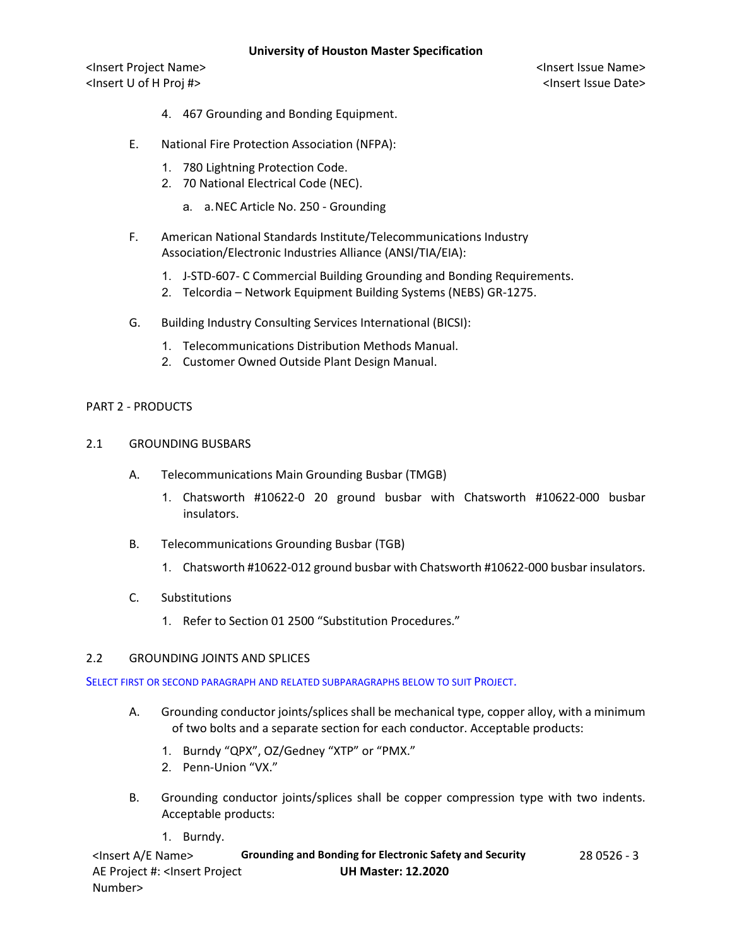## **University of Houston Master Specification**

<Insert Project Name> <Insert Issue Name> <Insert U of H Proj #> <Insert Issue Date>

- 4. 467 Grounding and Bonding Equipment.
- E. National Fire Protection Association (NFPA):
	- 1. 780 Lightning Protection Code.
	- 2. 70 National Electrical Code (NEC).
		- a. a.NEC Article No. 250 Grounding
- F. American National Standards Institute/Telecommunications Industry Association/Electronic Industries Alliance (ANSI/TIA/EIA):
	- 1. J-STD-607- C Commercial Building Grounding and Bonding Requirements.
	- 2. Telcordia Network Equipment Building Systems (NEBS) GR-1275.
- G. Building Industry Consulting Services International (BICSI):
	- 1. Telecommunications Distribution Methods Manual.
	- 2. Customer Owned Outside Plant Design Manual.

# PART 2 - PRODUCTS

- 2.1 GROUNDING BUSBARS
	- A. Telecommunications Main Grounding Busbar (TMGB)
		- 1. Chatsworth #10622-0 20 ground busbar with Chatsworth #10622-000 busbar insulators.
	- B. Telecommunications Grounding Busbar (TGB)
		- 1. Chatsworth #10622-012 ground busbar with Chatsworth #10622-000 busbar insulators.
	- C. Substitutions
		- 1. Refer to Section 01 2500 "Substitution Procedures."

#### 2.2 GROUNDING JOINTS AND SPLICES

SELECT FIRST OR SECOND PARAGRAPH AND RELATED SUBPARAGRAPHS BELOW TO SUIT PROJECT.

- A. Grounding conductor joints/splices shall be mechanical type, copper alloy, with a minimum of two bolts and a separate section for each conductor. Acceptable products:
	- 1. Burndy "QPX", OZ/Gedney "XTP" or "PMX."
	- 2. Penn-Union "VX."
- B. Grounding conductor joints/splices shall be copper compression type with two indents. Acceptable products:
	- 1. Burndy.

<Insert A/E Name> **Grounding and Bonding for Electronic Safety and Security** 28 0526 - 3 AE Project #: <Insert Project Number> **UH Master: 12.2020**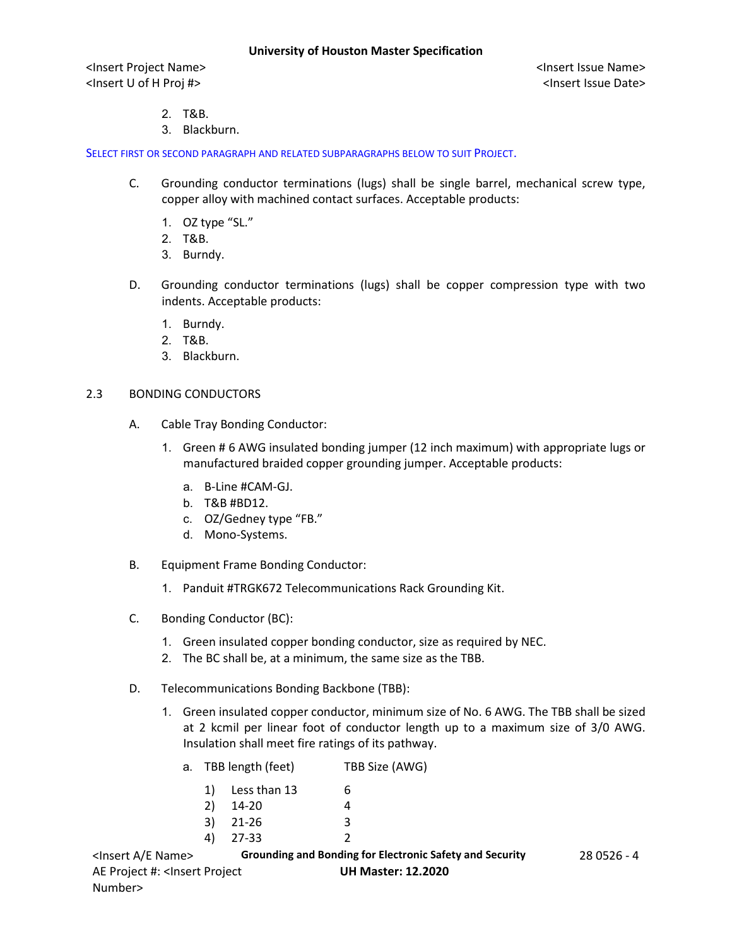<Insert Project Name> <Insert Issue Name> <Insert U of H Proj #> <Insert Issue Date>

- 2. T&B.
- 3. Blackburn.

SELECT FIRST OR SECOND PARAGRAPH AND RELATED SUBPARAGRAPHS BELOW TO SUIT PROJECT.

- C. Grounding conductor terminations (lugs) shall be single barrel, mechanical screw type, copper alloy with machined contact surfaces. Acceptable products:
	- 1. OZ type "SL."
	- 2. T&B.
	- 3. Burndy.
- D. Grounding conductor terminations (lugs) shall be copper compression type with two indents. Acceptable products:
	- 1. Burndy.
	- 2. T&B.
	- 3. Blackburn.

## 2.3 BONDING CONDUCTORS

- A. Cable Tray Bonding Conductor:
	- 1. Green # 6 AWG insulated bonding jumper (12 inch maximum) with appropriate lugs or manufactured braided copper grounding jumper. Acceptable products:
		- a. B-Line #CAM-GJ.
		- b. T&B #BD12.
		- c. OZ/Gedney type "FB."
		- d. Mono-Systems.
- B. Equipment Frame Bonding Conductor:
	- 1. Panduit #TRGK672 Telecommunications Rack Grounding Kit.
- C. Bonding Conductor (BC):
	- 1. Green insulated copper bonding conductor, size as required by NEC.
	- 2. The BC shall be, at a minimum, the same size as the TBB.
- D. Telecommunications Bonding Backbone (TBB):
	- 1. Green insulated copper conductor, minimum size of No. 6 AWG. The TBB shall be sized at 2 kcmil per linear foot of conductor length up to a maximum size of 3/0 AWG. Insulation shall meet fire ratings of its pathway.

|    | a. TBB length (feet) | TBB Size (AWG) |  |
|----|----------------------|----------------|--|
|    | 1) Less than 13      | b              |  |
| 2) | 14-20                |                |  |
|    | $3)$ 21-26           | 3              |  |
| 4) | 27-33                |                |  |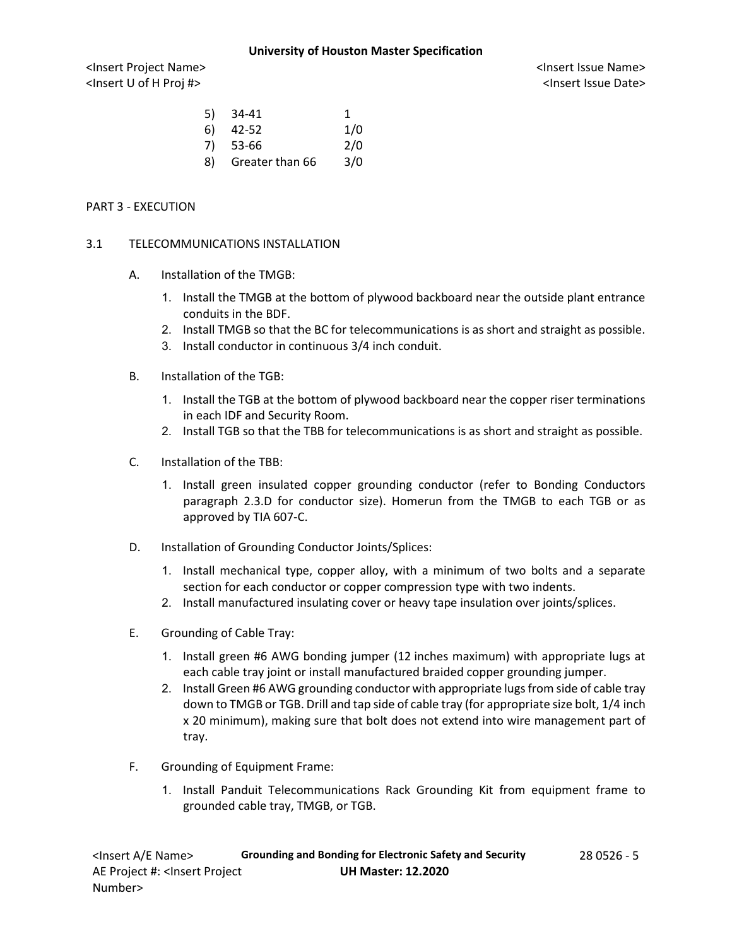### **University of Houston Master Specification**

<Insert Project Name> <Insert Issue Name> <Insert U of H Proj #> <Insert Issue Date>

|    | $5)$ 34-41      | 1   |
|----|-----------------|-----|
| 6) | 42-52           | 1/0 |
|    | $7)$ 53-66      | 2/0 |
| 8) | Greater than 66 | 3/0 |

## PART 3 - EXECUTION

## 3.1 TELECOMMUNICATIONS INSTALLATION

- A. Installation of the TMGB:
	- 1. Install the TMGB at the bottom of plywood backboard near the outside plant entrance conduits in the BDF.
	- 2. Install TMGB so that the BC for telecommunications is as short and straight as possible.
	- 3. Install conductor in continuous 3/4 inch conduit.
- B. Installation of the TGB:
	- 1. Install the TGB at the bottom of plywood backboard near the copper riser terminations in each IDF and Security Room.
	- 2. Install TGB so that the TBB for telecommunications is as short and straight as possible.
- C. Installation of the TBB:
	- 1. Install green insulated copper grounding conductor (refer to Bonding Conductors paragraph 2.3.D for conductor size). Homerun from the TMGB to each TGB or as approved by TIA 607-C.
- D. Installation of Grounding Conductor Joints/Splices:
	- 1. Install mechanical type, copper alloy, with a minimum of two bolts and a separate section for each conductor or copper compression type with two indents.
	- 2. Install manufactured insulating cover or heavy tape insulation over joints/splices.
- E. Grounding of Cable Tray:
	- 1. Install green #6 AWG bonding jumper (12 inches maximum) with appropriate lugs at each cable tray joint or install manufactured braided copper grounding jumper.
	- 2. Install Green #6 AWG grounding conductor with appropriate lugs from side of cable tray down to TMGB or TGB. Drill and tap side of cable tray (for appropriate size bolt, 1/4 inch x 20 minimum), making sure that bolt does not extend into wire management part of tray.
- F. Grounding of Equipment Frame:
	- 1. Install Panduit Telecommunications Rack Grounding Kit from equipment frame to grounded cable tray, TMGB, or TGB.